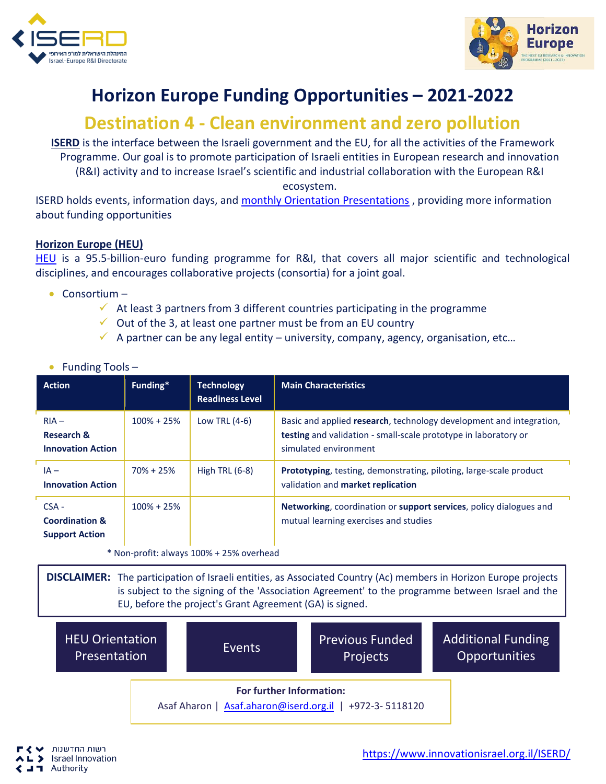



## **Horizon Europe Funding Opportunities – 2021-2022**

## **Destination 4 - Clean environment and zero pollution**

**ISERD** is the interface between the Israeli government and the EU, for all the activities of the Framework Programme. Our goal is to promote participation of Israeli entities in European research and innovation (R&I) activity and to increase Israel's scientific and industrial collaboration with the European R&I ecosystem.

ISERD holds events, information days, and [monthly Orientation Presentations](https://www.innovationisrael.org.il/ISERD/page/news-events) , providing more information about funding opportunities

## **Horizon Europe (HEU)**

[HEU](https://ec.europa.eu/info/horizon-europe_en) is a 95.5-billion-euro funding programme for R&I, that covers all major scientific and technological disciplines, and encourages collaborative projects (consortia) for a joint goal.

- Consortium
	- $\checkmark$  At least 3 partners from 3 different countries participating in the programme
	- $\checkmark$  Out of the 3, at least one partner must be from an EU country
	- $\checkmark$  A partner can be any legal entity university, company, agency, organisation, etc...

| <b>Action</b>                                                 | Funding*       | <b>Technology</b><br><b>Readiness Level</b> | <b>Main Characteristics</b>                                                                                                                                     |
|---------------------------------------------------------------|----------------|---------------------------------------------|-----------------------------------------------------------------------------------------------------------------------------------------------------------------|
| $RIA -$<br>Research &<br><b>Innovation Action</b>             | $100\% + 25\%$ | Low TRL (4-6)                               | Basic and applied research, technology development and integration,<br>testing and validation - small-scale prototype in laboratory or<br>simulated environment |
| $IA -$<br><b>Innovation Action</b>                            | $70\% + 25\%$  | High TRL $(6-8)$                            | Prototyping, testing, demonstrating, piloting, large-scale product<br>validation and market replication                                                         |
| $CSA -$<br><b>Coordination &amp;</b><br><b>Support Action</b> | $100\% + 25\%$ |                                             | Networking, coordination or support services, policy dialogues and<br>mutual learning exercises and studies                                                     |

• Funding Tools –

\* Non-profit: always 100% + 25% overhead

**DISCLAIMER:** The participation of Israeli entities, as Associated Country (Ac) members in Horizon Europe projects is subject to the signing of the 'Association Agreement' to the programme between Israel and the EU, before the project's Grant Agreement (GA) is signed.